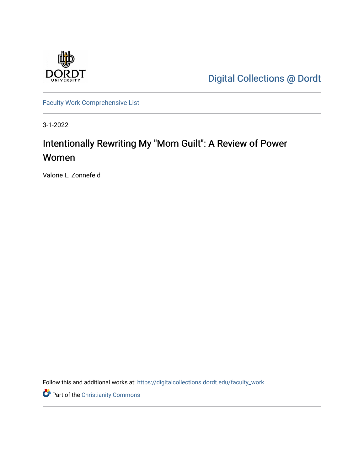

[Digital Collections @ Dordt](https://digitalcollections.dordt.edu/) 

[Faculty Work Comprehensive List](https://digitalcollections.dordt.edu/faculty_work)

3-1-2022

# Intentionally Rewriting My "Mom Guilt": A Review of Power Women

Valorie L. Zonnefeld

Follow this and additional works at: [https://digitalcollections.dordt.edu/faculty\\_work](https://digitalcollections.dordt.edu/faculty_work?utm_source=digitalcollections.dordt.edu%2Ffaculty_work%2F1371&utm_medium=PDF&utm_campaign=PDFCoverPages) 

Part of the [Christianity Commons](http://network.bepress.com/hgg/discipline/1181?utm_source=digitalcollections.dordt.edu%2Ffaculty_work%2F1371&utm_medium=PDF&utm_campaign=PDFCoverPages)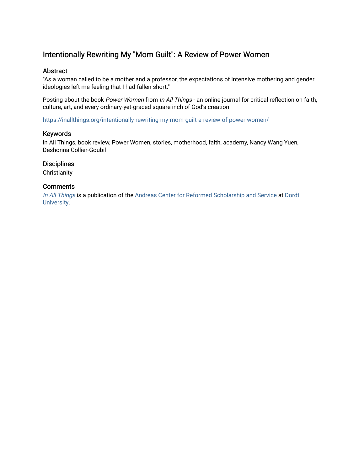## Intentionally Rewriting My "Mom Guilt": A Review of Power Women

#### Abstract

"As a woman called to be a mother and a professor, the expectations of intensive mothering and gender ideologies left me feeling that I had fallen short."

Posting about the book Power Women from In All Things - an online journal for critical reflection on faith, culture, art, and every ordinary-yet-graced square inch of God's creation.

<https://inallthings.org/intentionally-rewriting-my-mom-guilt-a-review-of-power-women/>

#### Keywords

In All Things, book review, Power Women, stories, motherhood, faith, academy, Nancy Wang Yuen, Deshonna Collier-Goubil

#### **Disciplines**

**Christianity** 

#### **Comments**

[In All Things](http://inallthings.org/) is a publication of the [Andreas Center for Reformed Scholarship and Service](http://www.dordt.edu/services_support/andreas_center/) at Dordt [University](http://www.dordt.edu/).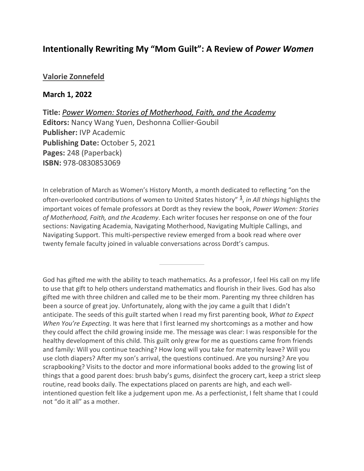# **Intentionally Rewriting My "Mom Guilt": A Review of** *Power Women*

## **[Valorie Zonnefeld](https://inallthings.org/author/valorie-zonnefeld/)**

### **March 1, 2022**

**Title:** *Power Women: Stories of Motherhood, Faith, and the Academy* **Editors:** Nancy Wang Yuen, Deshonna Collier-Goubil **Publisher:** IVP Academic **Publishing Date:** October 5, 2021 **Pages:** 248 (Paperback) **ISBN:** 978-0830853069

In celebration of March as Women's History Month, a month dedicated to reflecting "on the often-overlooked contributions of women to United States history" <sup>[1](https://inallthings.org/intentionally-rewriting-my-mom-guilt-a-review-of-power-women/#fn1-22242)</sup>, in All things highlights the important voices of female professors at Dordt as they review the book, *Power Women: Stories of Motherhood, Faith, and the Academy*. Each writer focuses her response on one of the four sections: Navigating Academia, Navigating Motherhood, Navigating Multiple Callings, and Navigating Support. This multi-perspective review emerged from a book read where over twenty female faculty joined in valuable conversations across Dordt's campus.

God has gifted me with the ability to teach mathematics. As a professor, I feel His call on my life to use that gift to help others understand mathematics and flourish in their lives. God has also gifted me with three children and called me to be their mom. Parenting my three children has been a source of great joy. Unfortunately, along with the joy came a guilt that I didn't anticipate. The seeds of this guilt started when I read my first parenting book, *What to Expect When You're Expecting*. It was here that I first learned my shortcomings as a mother and how they could affect the child growing inside me. The message was clear: I was responsible for the healthy development of this child. This guilt only grew for me as questions came from friends and family: Will you continue teaching? How long will you take for maternity leave? Will you use cloth diapers? After my son's arrival, the questions continued. Are you nursing? Are you scrapbooking? Visits to the doctor and more informational books added to the growing list of things that a good parent does: brush baby's gums, disinfect the grocery cart, keep a strict sleep routine, read books daily. The expectations placed on parents are high, and each wellintentioned question felt like a judgement upon me. As a perfectionist, I felt shame that I could not "do it all" as a mother.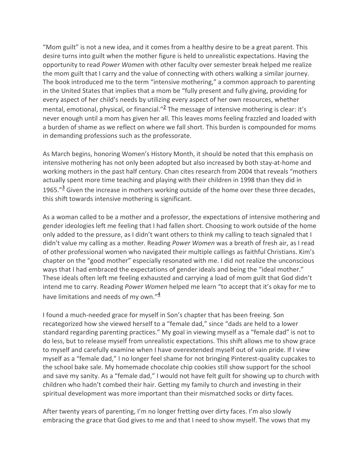"Mom guilt" is not a new idea, and it comes from a healthy desire to be a great parent. This desire turns into guilt when the mother figure is held to unrealistic expectations. Having the opportunity to read *Power Women* with other faculty over semester break helped me realize the mom guilt that I carry and the value of connecting with others walking a similar journey. The book introduced me to the term "intensive mothering," a common approach to parenting in the United States that implies that a mom be "fully present and fully giving, providing for every aspect of her child's needs by utilizing every aspect of her own resources, whether mental, emotional, physical, or financial."<sup>2</sup> The message of intensive mothering is clear: it's never enough until a mom has given her all. This leaves moms feeling frazzled and loaded with a burden of shame as we reflect on where we fall short. This burden is compounded for moms in demanding professions such as the professorate.

As March begins, honoring Women's History Month, it should be noted that this emphasis on intensive mothering has not only been adopted but also increased by both stay-at-home and working mothers in the past half century. Chan cites research from 2004 that reveals "mothers actually spent more time teaching and playing with their children in 1998 than they did in 1965." $3$  Given the increase in mothers working outside of the home over these three decades, this shift towards intensive mothering is significant.

As a woman called to be a mother and a professor, the expectations of intensive mothering and gender ideologies left me feeling that I had fallen short. Choosing to work outside of the home only added to the pressure, as I didn't want others to think my calling to teach signaled that I didn't value my calling as a mother. Reading *Power Women* was a breath of fresh air, as I read of other professional women who navigated their multiple callings as faithful Christians. Kim's chapter on the "good mother" especially resonated with me. I did not realize the unconscious ways that I had embraced the expectations of gender ideals and being the "ideal mother." These ideals often left me feeling exhausted and carrying a load of mom guilt that God didn't intend me to carry. Reading *Power Women* helped me learn "to accept that it's okay for me to have limitations and needs of my own."<sup>4</sup>

I found a much-needed grace for myself in Son's chapter that has been freeing. Son recategorized how she viewed herself to a "female dad," since "dads are held to a lower standard regarding parenting practices." My goal in viewing myself as a "female dad" is not to do less, but to release myself from unrealistic expectations. This shift allows me to show grace to myself and carefully examine when I have overextended myself out of vain pride. If I view myself as a "female dad," I no longer feel shame for not bringing Pinterest-quality cupcakes to the school bake sale. My homemade chocolate chip cookies still show support for the school and save my sanity. As a "female dad," I would not have felt guilt for showing up to church with children who hadn't combed their hair. Getting my family to church and investing in their spiritual development was more important than their mismatched socks or dirty faces.

After twenty years of parenting, I'm no longer fretting over dirty faces. I'm also slowly embracing the grace that God gives to me and that I need to show myself. The vows that my